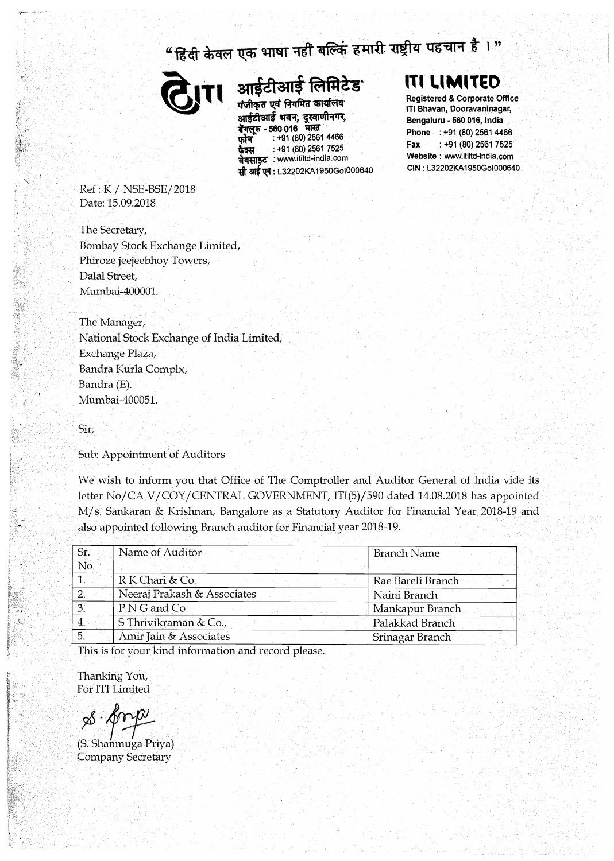## "हिंदी केवल एक भाषा नहीं बल्किं हमारी राष्ट्रीय पहचान है।"



आईटीआई लिमिटेड

पंजीकृत एवं निगमित कार्यालय आईटीआई भवन, दूरवाणीनगर,<br>**बॅगलूरु - 560 016 भारत**<br>फौन : +91 (80) 2561 4466 **बेंगलूरु - 560 016 भारत**<br>फोन : +91 (80) 2561 4466 **फेक्स : +91 (80) 2561 7525**<br>**वेबसाइट : www.itiltd-india.com** : **+91 (80) 2561 7525**  � **auf 11.l: L32202KA 1950Gol000640** 

## **,T, l.•M•T�O**

**Registered & Corporate Office ITI Bhavan, Oooravaninagar, Bengaluru - 560 016, India Phone : +91 (80) 2561 4466 Fax : +91 (80) 2561 7525 Website : www.itiltd-india.com CIN: L32202KA1950Gol000640** 

Ref : K / NSE-BSE/ 2018 Date: 15.09.2018

The Secretary, Bombay Stock Exchange Limited., Phiroze jeejeebhoy Towers, Dalal Street, Mumbai-400001.

The Manager, National Stock Exchange of India Limited, Exchange Plaza, Bandra Kurla Complx, Bandra (E). Mumbai-400051.

Sir,

Sub: Appointment of Auditors

We wish to inform you that Office of The Comptroller and Auditor General of India vide its letter No/CA V/COY/CENTRAL GOVERNMENT, ITI(5)/590 dated 14.08.2018 has appointed M/ s, Sankaran & Krishnan, Bangalore as a Statutory Auditor for Financial Year 2018-19 and also appointed follbwing Branch auditor for Financial year 2018-19.

| Sr.              | Name of Auditor             | <b>Branch Name</b> |
|------------------|-----------------------------|--------------------|
| No.              |                             |                    |
| 1.               | R K Chari & Co.             | Rae Bareli Branch  |
| 2.               | Neeraj Prakash & Associates | Naini Branch       |
| 3.               | P N G and Co                | Mankapur Branch    |
| $\overline{4}$ . | S Thrivikraman & Co.        | Palakkad Branch    |
| 5.1              | Amir Jain & Associates      | Srinagar Branch    |
|                  |                             |                    |

This is for your kind information and record please.

Thanking You, For ITI Limited

*rS·tf*

(S. Shanmu ga Priya) Company Secretary